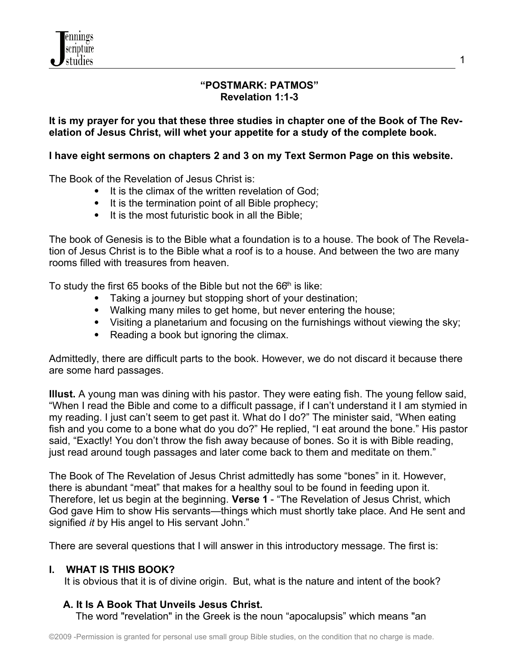### **"POSTMARK: PATMOS" Revelation 1:1-3**

### **It is my prayer for you that these three studies in chapter one of the Book of The Revelation of Jesus Christ, will whet your appetite for a study of the complete book.**

### **I have eight sermons on chapters 2 and 3 on my Text Sermon Page on this website.**

The Book of the Revelation of Jesus Christ is:

- It is the climax of the written revelation of God;
- It is the termination point of all Bible prophecy;
- It is the most futuristic book in all the Bible:

The book of Genesis is to the Bible what a foundation is to a house. The book of The Revelation of Jesus Christ is to the Bible what a roof is to a house. And between the two are many rooms filled with treasures from heaven.

To study the first 65 books of the Bible but not the  $66<sup>th</sup>$  is like:

- Taking a journey but stopping short of your destination;
- Walking many miles to get home, but never entering the house;
- Visiting a planetarium and focusing on the furnishings without viewing the sky;
- Reading a book but ignoring the climax.

Admittedly, there are difficult parts to the book. However, we do not discard it because there are some hard passages.

**Illust.** A young man was dining with his pastor. They were eating fish. The young fellow said, "When I read the Bible and come to a difficult passage, if I can't understand it I am stymied in my reading. I just can't seem to get past it. What do I do?" The minister said, "When eating fish and you come to a bone what do you do?" He replied, "I eat around the bone." His pastor said, "Exactly! You don't throw the fish away because of bones. So it is with Bible reading, just read around tough passages and later come back to them and meditate on them."

The Book of The Revelation of Jesus Christ admittedly has some "bones" in it. However, there is abundant "meat" that makes for a healthy soul to be found in feeding upon it. Therefore, let us begin at the beginning. **Verse 1** - "The Revelation of Jesus Christ, which God gave Him to show His servants—things which must shortly take place. And He sent and signified *it* by His angel to His servant John."

There are several questions that I will answer in this introductory message. The first is:

### **I. WHAT IS THIS BOOK?**

It is obvious that it is of divine origin. But, what is the nature and intent of the book?

## **A. It Is A Book That Unveils Jesus Christ.**

The word "revelation" in the Greek is the noun "apocalupsis" which means "an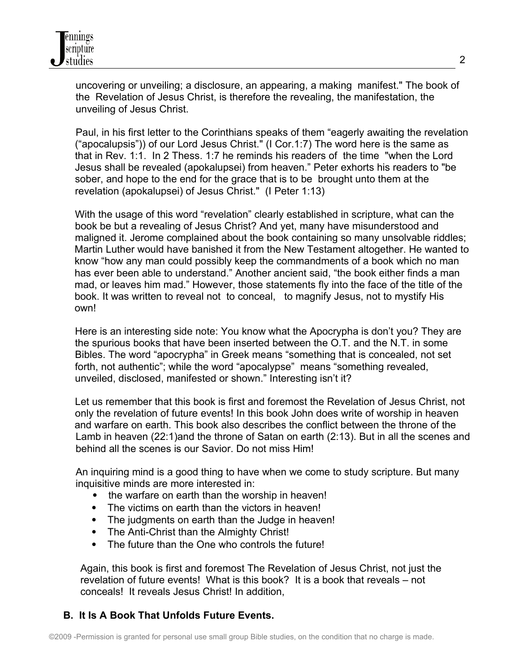uncovering or unveiling; a disclosure, an appearing, a making manifest." The book of the Revelation of Jesus Christ, is therefore the revealing, the manifestation, the unveiling of Jesus Christ.

 Paul, in his first letter to the Corinthians speaks of them "eagerly awaiting the revelation ("apocalupsis")) of our Lord Jesus Christ." (I Cor.1:7) The word here is the same as that in Rev. 1:1. In 2 Thess. 1:7 he reminds his readers of the time "when the Lord Jesus shall be revealed (apokalupsei) from heaven." Peter exhorts his readers to "be sober, and hope to the end for the grace that is to be brought unto them at the revelation (apokalupsei) of Jesus Christ." (I Peter 1:13)

 With the usage of this word "revelation" clearly established in scripture, what can the book be but a revealing of Jesus Christ? And yet, many have misunderstood and maligned it. Jerome complained about the book containing so many unsolvable riddles; Martin Luther would have banished it from the New Testament altogether. He wanted to know "how any man could possibly keep the commandments of a book which no man has ever been able to understand." Another ancient said, "the book either finds a man mad, or leaves him mad." However, those statements fly into the face of the title of the book. It was written to reveal not to conceal, to magnify Jesus, not to mystify His own!

 Here is an interesting side note: You know what the Apocrypha is don't you? They are the spurious books that have been inserted between the O.T. and the N.T. in some Bibles. The word "apocrypha" in Greek means "something that is concealed, not set forth, not authentic"; while the word "apocalypse" means "something revealed, unveiled, disclosed, manifested or shown." Interesting isn't it?

 Let us remember that this book is first and foremost the Revelation of Jesus Christ, not only the revelation of future events! In this book John does write of worship in heaven and warfare on earth. This book also describes the conflict between the throne of the Lamb in heaven (22:1)and the throne of Satan on earth (2:13). But in all the scenes and behind all the scenes is our Savior. Do not miss Him!

 An inquiring mind is a good thing to have when we come to study scripture. But many inquisitive minds are more interested in:

- the warfare on earth than the worship in heaven!
- The victims on earth than the victors in heaven!
- The judgments on earth than the Judge in heaven!
- The Anti-Christ than the Almighty Christ!
- The future than the One who controls the future!

 Again, this book is first and foremost The Revelation of Jesus Christ, not just the revelation of future events! What is this book? It is a book that reveals – not conceals! It reveals Jesus Christ! In addition,

# **B. It Is A Book That Unfolds Future Events.**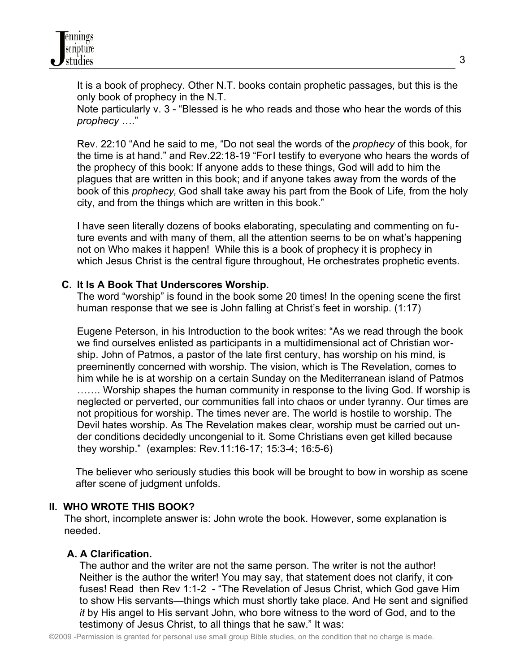It is a book of prophecy. Other N.T. books contain prophetic passages, but this is the only book of prophecy in the N.T.

Note particularly v. 3 - "Blessed is he who reads and those who hear the words of this *prophecy* …."

Rev. 22:10 "And he said to me, "Do not seal the words of the *prophecy* of this book, for the time is at hand." and Rev.22:18-19 "ForI testify to everyone who hears the words of the prophecy of this book: If anyone adds to these things, God will add to him the plagues that are written in this book; and if anyone takes away from the words of the book of this *prophecy,* God shall take away his part from the Book of Life, from the holy city, and from the things which are written in this book."

I have seen literally dozens of books elaborating, speculating and commenting on future events and with many of them, all the attention seems to be on what's happening not on Who makes it happen! While this is a book of prophecy it is prophecy in which Jesus Christ is the central figure throughout, He orchestrates prophetic events.

### **C. It Is A Book That Underscores Worship.**

The word "worship" is found in the book some 20 times! In the opening scene the first human response that we see is John falling at Christ's feet in worship. (1:17)

Eugene Peterson, in his Introduction to the book writes: "As we read through the book we find ourselves enlisted as participants in a multidimensional act of Christian worship. John of Patmos, a pastor of the late first century, has worship on his mind, is preeminently concerned with worship. The vision, which is The Revelation, comes to him while he is at worship on a certain Sunday on the Mediterranean island of Patmos

……. Worship shapes the human community in response to the living God. If worship is neglected or perverted, our communities fall into chaos or under tyranny. Our times are not propitious for worship. The times never are. The world is hostile to worship. The Devil hates worship. As The Revelation makes clear, worship must be carried out under conditions decidedly uncongenial to it. Some Christians even get killed because they worship." (examples: Rev.11:16-17; 15:3-4; 16:5-6)

The believer who seriously studies this book will be brought to bow in worship as scene after scene of judgment unfolds.

### **II. WHO WROTE THIS BOOK?**

The short, incomplete answer is: John wrote the book. However, some explanation is needed.

## **A. A Clarification.**

The author and the writer are not the same person. The writer is not the author! Neither is the author the writer! You may say, that statement does not clarify, it confuses! Read then Rev 1:1-2 - "The Revelation of Jesus Christ, which God gave Him to show His servants—things which must shortly take place. And He sent and signified *it* by His angel to His servant John, who bore witness to the word of God, and to the testimony of Jesus Christ, to all things that he saw." It was: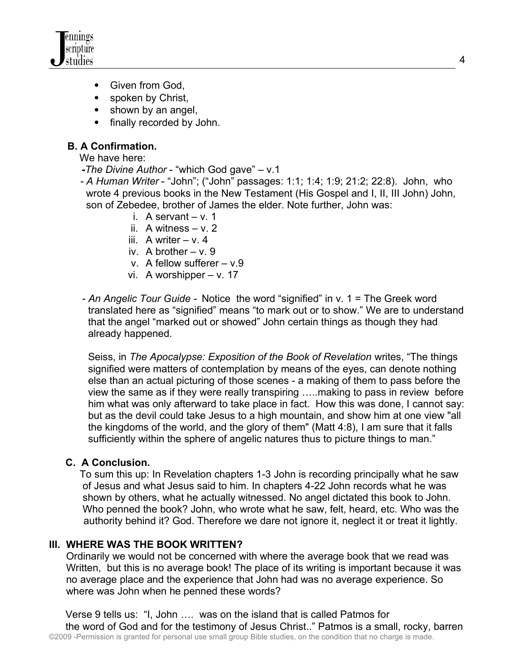

- Given from God.
- spoken by Christ,
- shown by an angel,
- finally recorded by John.

# **B. A Confirmation.**

We have here:

- **-***The Divine Author* "which God gave" v.1
- *A Human Writer* "John"; ("John" passages: 1:1; 1:4; 1:9; 21:2; 22:8). John, who wrote 4 previous books in the New Testament (His Gospel and I, II, III John) John, son of Zebedee, brother of James the elder. Note further, John was:
	- i. A servant v. 1
	- ii. A witness v. 2
	- iii. A writer  $v. 4$
	- iv. A brother  $v. 9$
	- v. A fellow sufferer v.9
	- vi. A worshipper v. 17
- *An Angelic Tour Guide -* Notice the word "signified" in v. 1 = The Greek word translated here as "signified" means "to mark out or to show." We are to understand that the angel "marked out or showed" John certain things as though they had already happened.

 Seiss, in *The Apocalypse: Exposition of the Book of Revelation* writes, "The things signified were matters of contemplation by means of the eyes, can denote nothing else than an actual picturing of those scenes - a making of them to pass before the view the same as if they were really transpiring …..making to pass in review before him what was only afterward to take place in fact. How this was done, I cannot say: but as the devil could take Jesus to a high mountain, and show him at one view "all the kingdoms of the world, and the glory of them" (Matt 4:8), I am sure that it falls sufficiently within the sphere of angelic natures thus to picture things to man."

## **C. A Conclusion.**

To sum this up: In Revelation chapters 1-3 John is recording principally what he saw of Jesus and what Jesus said to him. In chapters 4-22 John records what he was shown by others, what he actually witnessed. No angel dictated this book to John. Who penned the book? John, who wrote what he saw, felt, heard, etc. Who was the authority behind it? God. Therefore we dare not ignore it, neglect it or treat it lightly.

### **III. WHERE WAS THE BOOK WRITTEN?**

 Ordinarily we would not be concerned with where the average book that we read was Written, but this is no average book! The place of its writing is important because it was no average place and the experience that John had was no average experience. So where was John when he penned these words?

 Verse 9 tells us: "I, John …. was on the island that is called Patmos for the word of God and for the testimony of Jesus Christ.." Patmos is a small, rocky, barren ©2009 -Permission is granted for personal use small group Bible studies, on the condition that no charge is made.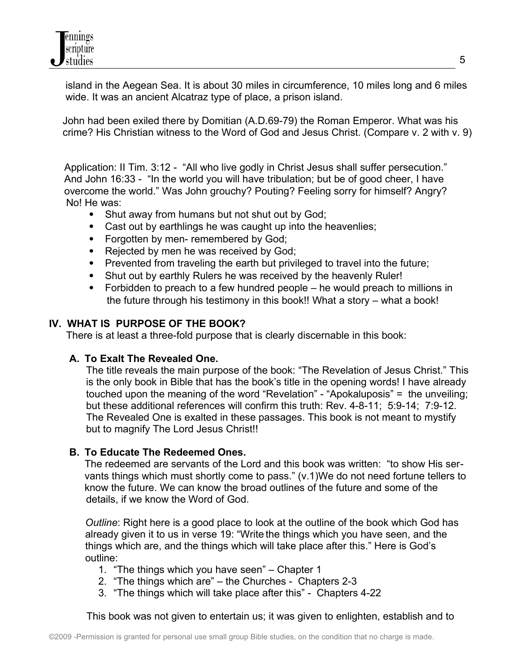island in the Aegean Sea. It is about 30 miles in circumference, 10 miles long and 6 miles wide. It was an ancient Alcatraz type of place, a prison island.

John had been exiled there by Domitian (A.D.69-79) the Roman Emperor. What was his crime? His Christian witness to the Word of God and Jesus Christ. (Compare v. 2 with v. 9)

Application: II Tim. 3:12 - "All who live godly in Christ Jesus shall suffer persecution." And John 16:33 - "In the world you will have tribulation; but be of good cheer, I have overcome the world." Was John grouchy? Pouting? Feeling sorry for himself? Angry? No! He was:

- Shut away from humans but not shut out by God;
- Cast out by earthlings he was caught up into the heavenlies;
- Forgotten by men- remembered by God;
- Rejected by men he was received by God;
- Prevented from traveling the earth but privileged to travel into the future;
- Shut out by earthly Rulers he was received by the heavenly Ruler!
- Forbidden to preach to a few hundred people he would preach to millions in the future through his testimony in this book!! What a story – what a book!

## **IV. WHAT IS PURPOSE OF THE BOOK?**

There is at least a three-fold purpose that is clearly discernable in this book:

# **A. To Exalt The Revealed One.**

 The title reveals the main purpose of the book: "The Revelation of Jesus Christ." This is the only book in Bible that has the book's title in the opening words! I have already touched upon the meaning of the word "Revelation" - "Apokaluposis" = the unveiling; but these additional references will confirm this truth: Rev. 4-8-11; 5:9-14; 7:9-12. The Revealed One is exalted in these passages. This book is not meant to mystify but to magnify The Lord Jesus Christ!!

# **B. To Educate The Redeemed Ones.**

The redeemed are servants of the Lord and this book was written: "to show His servants things which must shortly come to pass." (v.1)We do not need fortune tellers to know the future. We can know the broad outlines of the future and some of the details, if we know the Word of God.

 *Outline*: Right here is a good place to look at the outline of the book which God has already given it to us in verse 19: "Write the things which you have seen, and the things which are, and the things which will take place after this." Here is God's outline:

- 1. "The things which you have seen" Chapter 1
- 2. "The things which are" the Churches Chapters 2-3
- 3. "The things which will take place after this" Chapters 4-22

This book was not given to entertain us; it was given to enlighten, establish and to